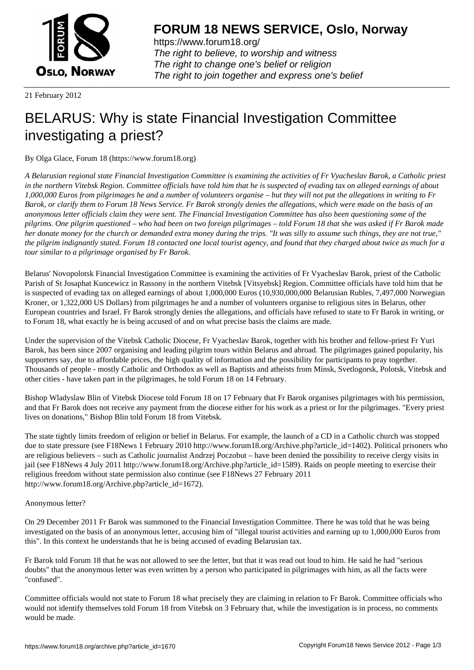

https://www.forum18.org/ The right to believe, to worship and witness The right to change one's belief or religion [The right to join together a](https://www.forum18.org/)nd express one's belief

21 February 2012

## [BELARUS: Why](https://www.forum18.org) is state Financial Investigation Committee investigating a priest?

By Olga Glace, Forum 18 (https://www.forum18.org)

*A Belarusian regional state Financial Investigation Committee is examining the activities of Fr Vyacheslav Barok, a Catholic priest in the northern Vitebsk Region. Committee officials have told him that he is suspected of evading tax on alleged earnings of about 1,000,000 Euros from pilgrimages he and a number of volunteers organise – but they will not put the allegations in writing to Fr Barok, or clarify them to Forum 18 News Service. Fr Barok strongly denies the allegations, which were made on the basis of an anonymous letter officials claim they were sent. The Financial Investigation Committee has also been questioning some of the pilgrims. One pilgrim questioned – who had been on two foreign pilgrimages – told Forum 18 that she was asked if Fr Barok made her donate money for the church or demanded extra money during the trips. "It was silly to assume such things, they are not true," the pilgrim indignantly stated. Forum 18 contacted one local tourist agency, and found that they charged about twice as much for a tour similar to a pilgrimage organised by Fr Barok.*

Belarus' Novopolotsk Financial Investigation Committee is examining the activities of Fr Vyacheslav Barok, priest of the Catholic Parish of St Josaphat Kuncewicz in Rassony in the northern Vitebsk [Vitsyebsk] Region. Committee officials have told him that he is suspected of evading tax on alleged earnings of about 1,000,000 Euros (10,930,000,000 Belarusian Rubles, 7,497,000 Norwegian Kroner, or 1,322,000 US Dollars) from pilgrimages he and a number of volunteers organise to religious sites in Belarus, other European countries and Israel. Fr Barok strongly denies the allegations, and officials have refused to state to Fr Barok in writing, or to Forum 18, what exactly he is being accused of and on what precise basis the claims are made.

Under the supervision of the Vitebsk Catholic Diocese, Fr Vyacheslav Barok, together with his brother and fellow-priest Fr Yuri Barok, has been since 2007 organising and leading pilgrim tours within Belarus and abroad. The pilgrimages gained popularity, his supporters say, due to affordable prices, the high quality of information and the possibility for participants to pray together. Thousands of people - mostly Catholic and Orthodox as well as Baptists and atheists from Minsk, Svetlogorsk, Polotsk, Vitebsk and other cities - have taken part in the pilgrimages, he told Forum 18 on 14 February.

Bishop Wladyslaw Blin of Vitebsk Diocese told Forum 18 on 17 February that Fr Barok organises pilgrimages with his permission, and that Fr Barok does not receive any payment from the diocese either for his work as a priest or for the pilgrimages. "Every priest lives on donations," Bishop Blin told Forum 18 from Vitebsk.

The state tightly limits freedom of religion or belief in Belarus. For example, the launch of a CD in a Catholic church was stopped due to state pressure (see F18News 1 February 2010 http://www.forum18.org/Archive.php?article\_id=1402). Political prisoners who are religious believers – such as Catholic journalist Andrzej Poczobut – have been denied the possibility to receive clergy visits in jail (see F18News 4 July 2011 http://www.forum18.org/Archive.php?article\_id=1589). Raids on people meeting to exercise their religious freedom without state permission also continue (see F18News 27 February 2011 http://www.forum18.org/Archive.php?article\_id=1672).

## Anonymous letter?

On 29 December 2011 Fr Barok was summoned to the Financial Investigation Committee. There he was told that he was being investigated on the basis of an anonymous letter, accusing him of "illegal tourist activities and earning up to 1,000,000 Euros from this". In this context he understands that he is being accused of evading Belarusian tax.

Fr Barok told Forum 18 that he was not allowed to see the letter, but that it was read out loud to him. He said he had "serious doubts" that the anonymous letter was even written by a person who participated in pilgrimages with him, as all the facts were "confused".

Committee officials would not state to Forum 18 what precisely they are claiming in relation to Fr Barok. Committee officials who would not identify themselves told Forum 18 from Vitebsk on 3 February that, while the investigation is in process, no comments would be made.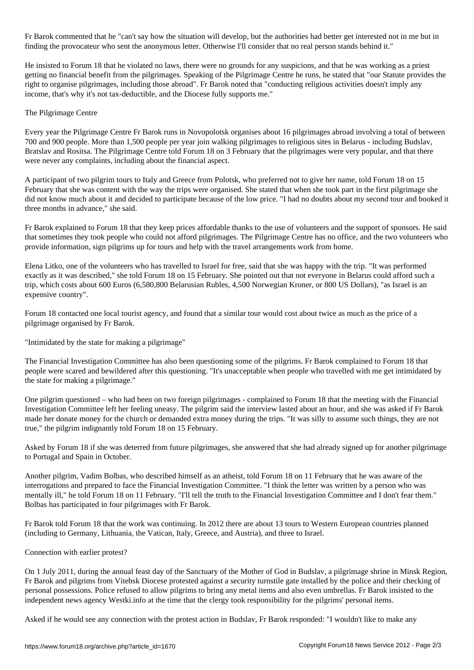Fr Barok commented that he "can't say how the situation will develop, but the authorities had better get interested not in me but in finding the provocateur who sent the anonymous letter. Otherwise I'll consider that no real person stands behind it."

He insisted to Forum 18 that he violated no laws, there were no grounds for any suspicions, and that he was working as a priest getting no financial benefit from the pilgrimages. Speaking of the Pilgrimage Centre he runs, he stated that "our Statute provides the right to organise pilgrimages, including those abroad". Fr Barok noted that "conducting religious activities doesn't imply any income, that's why it's not tax-deductible, and the Diocese fully supports me."

## The Pilgrimage Centre

Every year the Pilgrimage Centre Fr Barok runs in Novopolotsk organises about 16 pilgrimages abroad involving a total of between 700 and 900 people. More than 1,500 people per year join walking pilgrimages to religious sites in Belarus - including Budslav, Bratslav and Rositsa. The Pilgrimage Centre told Forum 18 on 3 February that the pilgrimages were very popular, and that there were never any complaints, including about the financial aspect.

A participant of two pilgrim tours to Italy and Greece from Polotsk, who preferred not to give her name, told Forum 18 on 15 February that she was content with the way the trips were organised. She stated that when she took part in the first pilgrimage she did not know much about it and decided to participate because of the low price. "I had no doubts about my second tour and booked it three months in advance," she said.

Fr Barok explained to Forum 18 that they keep prices affordable thanks to the use of volunteers and the support of sponsors. He said that sometimes they took people who could not afford pilgrimages. The Pilgrimage Centre has no office, and the two volunteers who provide information, sign pilgrims up for tours and help with the travel arrangements work from home.

Elena Litko, one of the volunteers who has travelled to Israel for free, said that she was happy with the trip. "It was performed exactly as it was described," she told Forum 18 on 15 February. She pointed out that not everyone in Belarus could afford such a trip, which costs about 600 Euros (6,580,800 Belarusian Rubles, 4,500 Norwegian Kroner, or 800 US Dollars), "as Israel is an expensive country".

Forum 18 contacted one local tourist agency, and found that a similar tour would cost about twice as much as the price of a pilgrimage organised by Fr Barok.

"Intimidated by the state for making a pilgrimage"

The Financial Investigation Committee has also been questioning some of the pilgrims. Fr Barok complained to Forum 18 that people were scared and bewildered after this questioning. "It's unacceptable when people who travelled with me get intimidated by the state for making a pilgrimage."

One pilgrim questioned – who had been on two foreign pilgrimages - complained to Forum 18 that the meeting with the Financial Investigation Committee left her feeling uneasy. The pilgrim said the interview lasted about an hour, and she was asked if Fr Barok made her donate money for the church or demanded extra money during the trips. "It was silly to assume such things, they are not true," the pilgrim indignantly told Forum 18 on 15 February.

Asked by Forum 18 if she was deterred from future pilgrimages, she answered that she had already signed up for another pilgrimage to Portugal and Spain in October.

Another pilgrim, Vadim Bolbas, who described himself as an atheist, told Forum 18 on 11 February that he was aware of the interrogations and prepared to face the Financial Investigation Committee. "I think the letter was written by a person who was mentally ill," he told Forum 18 on 11 February. "I'll tell the truth to the Financial Investigation Committee and I don't fear them." Bolbas has participated in four pilgrimages with Fr Barok.

Fr Barok told Forum 18 that the work was continuing. In 2012 there are about 13 tours to Western European countries planned (including to Germany, Lithuania, the Vatican, Italy, Greece, and Austria), and three to Israel.

Connection with earlier protest?

On 1 July 2011, during the annual feast day of the Sanctuary of the Mother of God in Budslav, a pilgrimage shrine in Minsk Region, Fr Barok and pilgrims from Vitebsk Diocese protested against a security turnstile gate installed by the police and their checking of personal possessions. Police refused to allow pilgrims to bring any metal items and also even umbrellas. Fr Barok insisted to the independent news agency Westki.info at the time that the clergy took responsibility for the pilgrims' personal items.

Asked if he would see any connection with the protest action in Budslav, Fr Barok responded: "I wouldn't like to make any